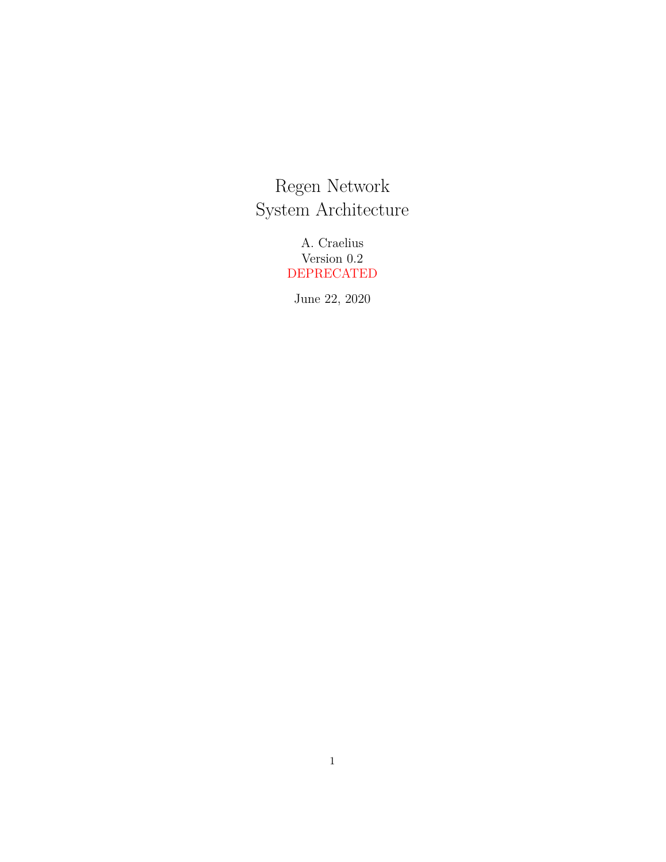Regen Network System Architecture

> A. Craelius Version 0.2 DEPRECATED

June 22, 2020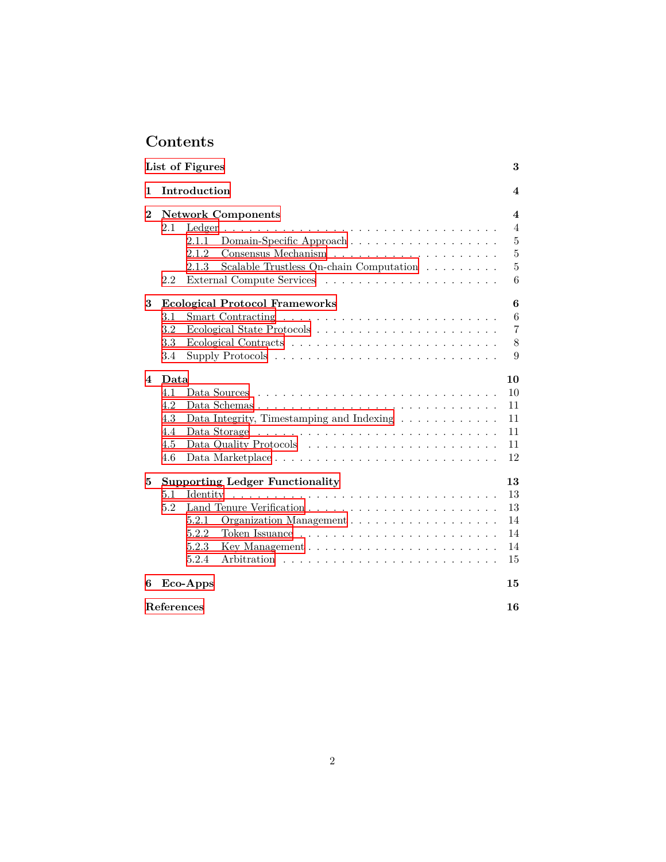# **Contents**

|                        | List of Figures                                                                                           | 3                |  |  |  |  |  |  |  |
|------------------------|-----------------------------------------------------------------------------------------------------------|------------------|--|--|--|--|--|--|--|
| 1                      | Introduction                                                                                              | 4                |  |  |  |  |  |  |  |
| $\bf{2}$               | <b>Network Components</b>                                                                                 | 4                |  |  |  |  |  |  |  |
|                        | 2.1                                                                                                       | $\overline{4}$   |  |  |  |  |  |  |  |
|                        | Domain-Specific Approach<br>2.1.1                                                                         | $\bf 5$          |  |  |  |  |  |  |  |
|                        | 2.1.2<br>Consensus Mechanism $\hphantom{a_1 + a_2 + a_3 + a_4} \ldots \ldots \ldots \ldots \ldots \ldots$ | $\bf 5$          |  |  |  |  |  |  |  |
|                        | Scalable Trustless On-chain Computation<br>2.1.3                                                          | 5                |  |  |  |  |  |  |  |
|                        | 2.2                                                                                                       | 6                |  |  |  |  |  |  |  |
| 3                      | <b>Ecological Protocol Frameworks</b>                                                                     | $\boldsymbol{6}$ |  |  |  |  |  |  |  |
|                        | 3.1                                                                                                       | 6                |  |  |  |  |  |  |  |
|                        | 3.2                                                                                                       | $\overline{7}$   |  |  |  |  |  |  |  |
|                        | 3.3                                                                                                       | 8                |  |  |  |  |  |  |  |
|                        | 3.4                                                                                                       | 9                |  |  |  |  |  |  |  |
| $\boldsymbol{\Lambda}$ | Data                                                                                                      | 10               |  |  |  |  |  |  |  |
|                        | 4.1                                                                                                       | 10               |  |  |  |  |  |  |  |
|                        | 4.2<br>Data Schemas                                                                                       | 11               |  |  |  |  |  |  |  |
|                        | 4.3<br>Data Integrity, Timestamping and Indexing $\dots \dots \dots \dots$                                | 11               |  |  |  |  |  |  |  |
|                        | 4.4                                                                                                       | 11               |  |  |  |  |  |  |  |
|                        | 4.5                                                                                                       | 11               |  |  |  |  |  |  |  |
|                        | 4.6<br>Data Marketplace                                                                                   | 12               |  |  |  |  |  |  |  |
| 5                      | <b>Supporting Ledger Functionality</b>                                                                    | 13               |  |  |  |  |  |  |  |
|                        | 5.1                                                                                                       | 13               |  |  |  |  |  |  |  |
|                        | 5.2                                                                                                       | 13               |  |  |  |  |  |  |  |
|                        | 5.2.1                                                                                                     | 14               |  |  |  |  |  |  |  |
|                        | 5.2.2                                                                                                     | 14               |  |  |  |  |  |  |  |
|                        | 5.2.3                                                                                                     | 14               |  |  |  |  |  |  |  |
|                        | 5.2.4                                                                                                     | 15               |  |  |  |  |  |  |  |
| 6                      | Eco-Apps                                                                                                  | 15               |  |  |  |  |  |  |  |
| References<br>16       |                                                                                                           |                  |  |  |  |  |  |  |  |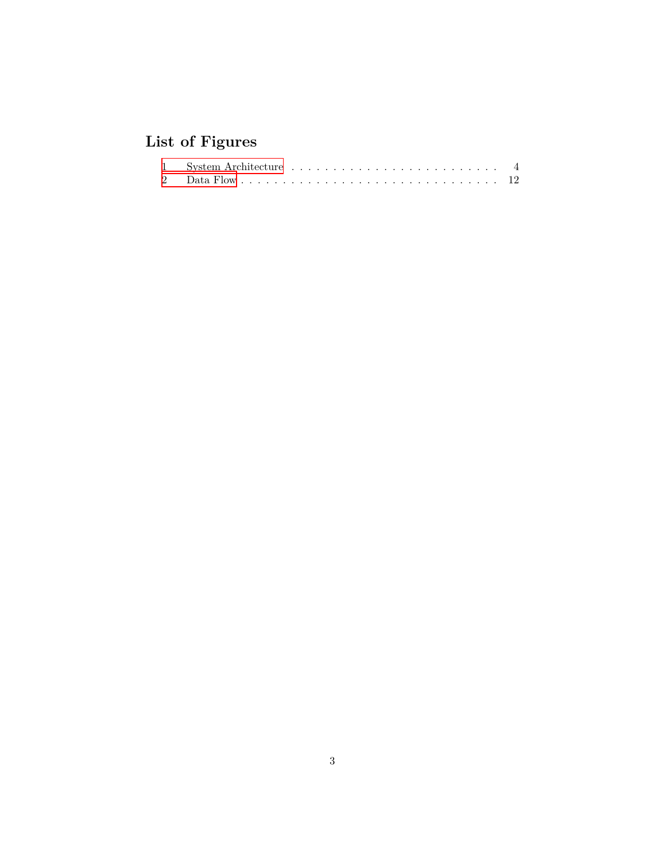# <span id="page-2-0"></span>**List of Figures**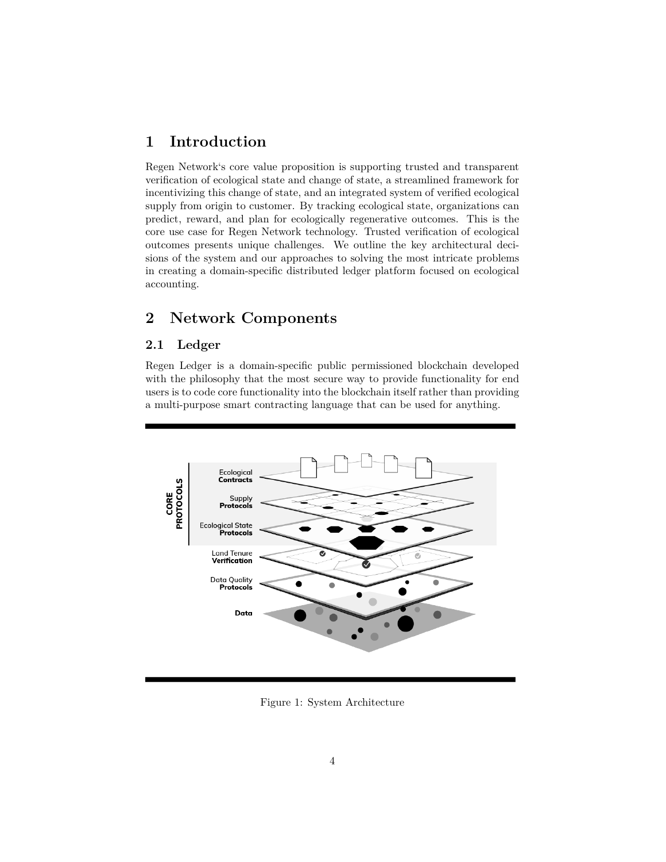# <span id="page-3-0"></span>**1 Introduction**

Regen Network's core value proposition is supporting trusted and transparent verification of ecological state and change of state, a streamlined framework for incentivizing this change of state, and an integrated system of verified ecological supply from origin to customer. By tracking ecological state, organizations can predict, reward, and plan for ecologically regenerative outcomes. This is the core use case for Regen Network technology. Trusted verification of ecological outcomes presents unique challenges. We outline the key architectural decisions of the system and our approaches to solving the most intricate problems in creating a domain-specific distributed ledger platform focused on ecological accounting.

# <span id="page-3-1"></span>**2 Network Components**

### <span id="page-3-2"></span>**2.1 Ledger**

Regen Ledger is a domain-specific public permissioned blockchain developed with the philosophy that the most secure way to provide functionality for end users is to code core functionality into the blockchain itself rather than providing a multi-purpose smart contracting language that can be used for anything.



<span id="page-3-3"></span>Figure 1: System Architecture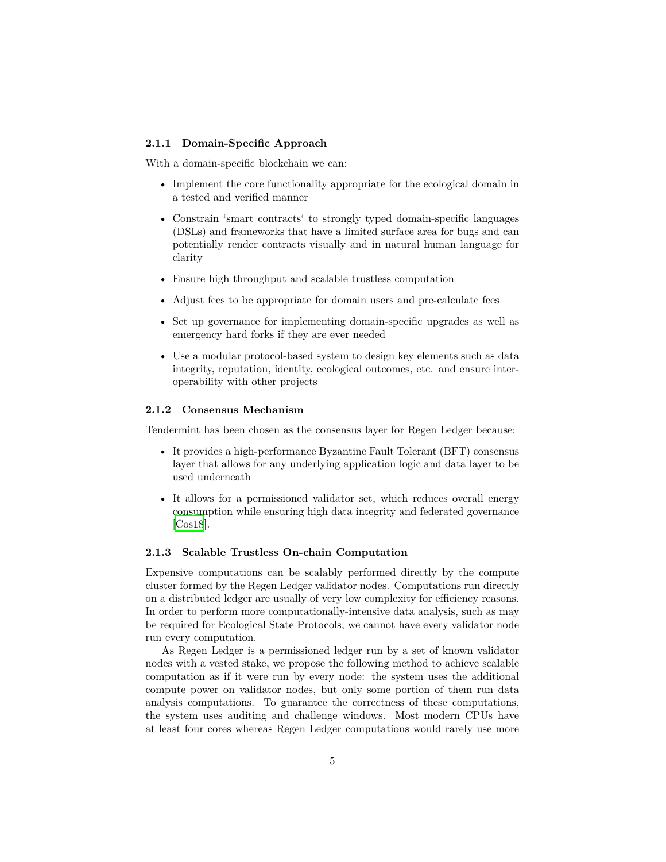#### <span id="page-4-0"></span>**2.1.1 Domain-Specific Approach**

With a domain-specific blockchain we can:

- Implement the core functionality appropriate for the ecological domain in a tested and verified manner
- Constrain 'smart contracts' to strongly typed domain-specific languages (DSLs) and frameworks that have a limited surface area for bugs and can potentially render contracts visually and in natural human language for clarity
- Ensure high throughput and scalable trustless computation
- Adjust fees to be appropriate for domain users and pre-calculate fees
- Set up governance for implementing domain-specific upgrades as well as emergency hard forks if they are ever needed
- Use a modular protocol-based system to design key elements such as data integrity, reputation, identity, ecological outcomes, etc. and ensure interoperability with other projects

#### <span id="page-4-1"></span>**2.1.2 Consensus Mechanism**

Tendermint has been chosen as the consensus layer for Regen Ledger because:

- It provides a high-performance Byzantine Fault Tolerant (BFT) consensus layer that allows for any underlying application logic and data layer to be used underneath
- It allows for a permissioned validator set, which reduces overall energy consumption while ensuring high data integrity and federated governance [\[Cos18\]](#page-15-1).

#### <span id="page-4-2"></span>**2.1.3 Scalable Trustless On-chain Computation**

Expensive computations can be scalably performed directly by the compute cluster formed by the Regen Ledger validator nodes. Computations run directly on a distributed ledger are usually of very low complexity for efficiency reasons. In order to perform more computationally-intensive data analysis, such as may be required for Ecological State Protocols, we cannot have every validator node run every computation.

As Regen Ledger is a permissioned ledger run by a set of known validator nodes with a vested stake, we propose the following method to achieve scalable computation as if it were run by every node: the system uses the additional compute power on validator nodes, but only some portion of them run data analysis computations. To guarantee the correctness of these computations, the system uses auditing and challenge windows. Most modern CPUs have at least four cores whereas Regen Ledger computations would rarely use more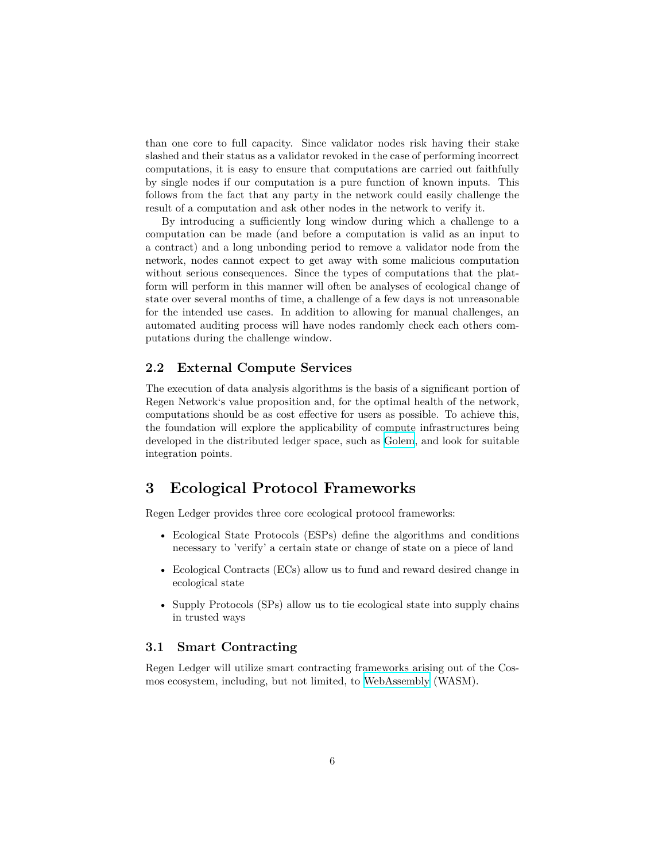than one core to full capacity. Since validator nodes risk having their stake slashed and their status as a validator revoked in the case of performing incorrect computations, it is easy to ensure that computations are carried out faithfully by single nodes if our computation is a pure function of known inputs. This follows from the fact that any party in the network could easily challenge the result of a computation and ask other nodes in the network to verify it.

By introducing a sufficiently long window during which a challenge to a computation can be made (and before a computation is valid as an input to a contract) and a long unbonding period to remove a validator node from the network, nodes cannot expect to get away with some malicious computation without serious consequences. Since the types of computations that the platform will perform in this manner will often be analyses of ecological change of state over several months of time, a challenge of a few days is not unreasonable for the intended use cases. In addition to allowing for manual challenges, an automated auditing process will have nodes randomly check each others computations during the challenge window.

#### <span id="page-5-0"></span>**2.2 External Compute Services**

The execution of data analysis algorithms is the basis of a significant portion of Regen Network's value proposition and, for the optimal health of the network, computations should be as cost effective for users as possible. To achieve this, the foundation will explore the applicability of compute infrastructures being developed in the distributed ledger space, such as [Golem](https://golem.network), and look for suitable integration points.

## <span id="page-5-1"></span>**3 Ecological Protocol Frameworks**

Regen Ledger provides three core ecological protocol frameworks:

- Ecological State Protocols (ESPs) define the algorithms and conditions necessary to 'verify' a certain state or change of state on a piece of land
- Ecological Contracts (ECs) allow us to fund and reward desired change in ecological state
- Supply Protocols (SPs) allow us to tie ecological state into supply chains in trusted ways

#### <span id="page-5-2"></span>**3.1 Smart Contracting**

Regen Ledger will utilize smart contracting frameworks arising out of the Cosmos ecosystem, including, but not limited, to [WebAssembly](http://troubles.md/posts/rust-smart-contracts/) (WASM).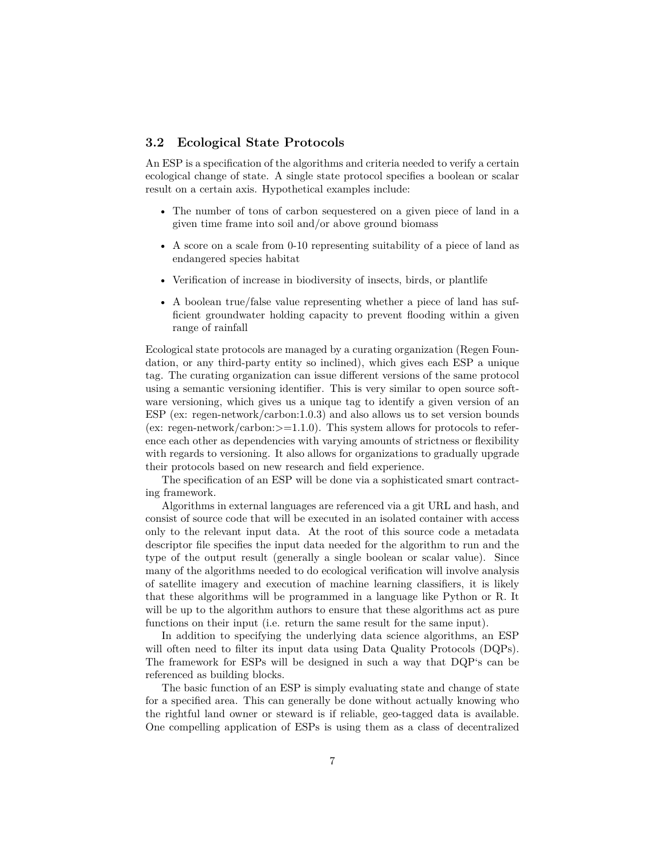#### <span id="page-6-0"></span>**3.2 Ecological State Protocols**

An ESP is a specification of the algorithms and criteria needed to verify a certain ecological change of state. A single state protocol specifies a boolean or scalar result on a certain axis. Hypothetical examples include:

- The number of tons of carbon sequestered on a given piece of land in a given time frame into soil and/or above ground biomass
- A score on a scale from 0-10 representing suitability of a piece of land as endangered species habitat
- Verification of increase in biodiversity of insects, birds, or plantlife
- A boolean true/false value representing whether a piece of land has sufficient groundwater holding capacity to prevent flooding within a given range of rainfall

Ecological state protocols are managed by a curating organization (Regen Foundation, or any third-party entity so inclined), which gives each ESP a unique tag. The curating organization can issue different versions of the same protocol using a semantic versioning identifier. This is very similar to open source software versioning, which gives us a unique tag to identify a given version of an ESP (ex: regen-network/carbon:1.0.3) and also allows us to set version bounds (ex: regen-network/carbon: $>=1.1.0$ ). This system allows for protocols to reference each other as dependencies with varying amounts of strictness or flexibility with regards to versioning. It also allows for organizations to gradually upgrade their protocols based on new research and field experience.

The specification of an ESP will be done via a sophisticated smart contracting framework.

Algorithms in external languages are referenced via a git URL and hash, and consist of source code that will be executed in an isolated container with access only to the relevant input data. At the root of this source code a metadata descriptor file specifies the input data needed for the algorithm to run and the type of the output result (generally a single boolean or scalar value). Since many of the algorithms needed to do ecological verification will involve analysis of satellite imagery and execution of machine learning classifiers, it is likely that these algorithms will be programmed in a language like Python or R. It will be up to the algorithm authors to ensure that these algorithms act as pure functions on their input (i.e. return the same result for the same input).

In addition to specifying the underlying data science algorithms, an ESP will often need to filter its input data using Data Quality Protocols (DQPs). The framework for ESPs will be designed in such a way that DQP's can be referenced as building blocks.

The basic function of an ESP is simply evaluating state and change of state for a specified area. This can generally be done without actually knowing who the rightful land owner or steward is if reliable, geo-tagged data is available. One compelling application of ESPs is using them as a class of decentralized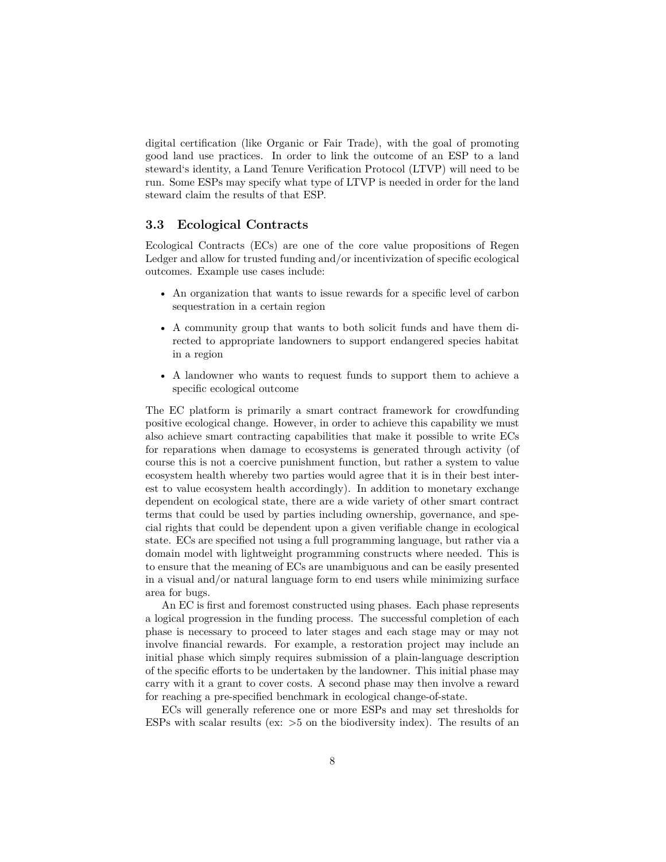digital certification (like Organic or Fair Trade), with the goal of promoting good land use practices. In order to link the outcome of an ESP to a land steward's identity, a Land Tenure Verification Protocol (LTVP) will need to be run. Some ESPs may specify what type of LTVP is needed in order for the land steward claim the results of that ESP.

#### <span id="page-7-0"></span>**3.3 Ecological Contracts**

Ecological Contracts (ECs) are one of the core value propositions of Regen Ledger and allow for trusted funding and/or incentivization of specific ecological outcomes. Example use cases include:

- An organization that wants to issue rewards for a specific level of carbon sequestration in a certain region
- A community group that wants to both solicit funds and have them directed to appropriate landowners to support endangered species habitat in a region
- A landowner who wants to request funds to support them to achieve a specific ecological outcome

The EC platform is primarily a smart contract framework for crowdfunding positive ecological change. However, in order to achieve this capability we must also achieve smart contracting capabilities that make it possible to write ECs for reparations when damage to ecosystems is generated through activity (of course this is not a coercive punishment function, but rather a system to value ecosystem health whereby two parties would agree that it is in their best interest to value ecosystem health accordingly). In addition to monetary exchange dependent on ecological state, there are a wide variety of other smart contract terms that could be used by parties including ownership, governance, and special rights that could be dependent upon a given verifiable change in ecological state. ECs are specified not using a full programming language, but rather via a domain model with lightweight programming constructs where needed. This is to ensure that the meaning of ECs are unambiguous and can be easily presented in a visual and/or natural language form to end users while minimizing surface area for bugs.

An EC is first and foremost constructed using phases. Each phase represents a logical progression in the funding process. The successful completion of each phase is necessary to proceed to later stages and each stage may or may not involve financial rewards. For example, a restoration project may include an initial phase which simply requires submission of a plain-language description of the specific efforts to be undertaken by the landowner. This initial phase may carry with it a grant to cover costs. A second phase may then involve a reward for reaching a pre-specified benchmark in ecological change-of-state.

ECs will generally reference one or more ESPs and may set thresholds for ESPs with scalar results (ex:  $>5$  on the biodiversity index). The results of an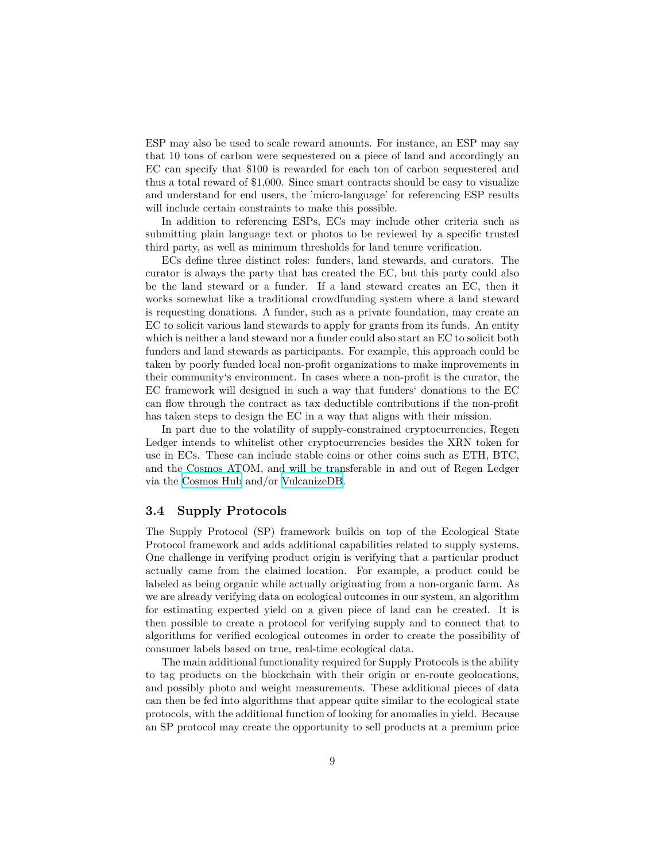ESP may also be used to scale reward amounts. For instance, an ESP may say that 10 tons of carbon were sequestered on a piece of land and accordingly an EC can specify that \$100 is rewarded for each ton of carbon sequestered and thus a total reward of \$1,000. Since smart contracts should be easy to visualize and understand for end users, the 'micro-language' for referencing ESP results will include certain constraints to make this possible.

In addition to referencing ESPs, ECs may include other criteria such as submitting plain language text or photos to be reviewed by a specific trusted third party, as well as minimum thresholds for land tenure verification.

ECs define three distinct roles: funders, land stewards, and curators. The curator is always the party that has created the EC, but this party could also be the land steward or a funder. If a land steward creates an EC, then it works somewhat like a traditional crowdfunding system where a land steward is requesting donations. A funder, such as a private foundation, may create an EC to solicit various land stewards to apply for grants from its funds. An entity which is neither a land steward nor a funder could also start an EC to solicit both funders and land stewards as participants. For example, this approach could be taken by poorly funded local non-profit organizations to make improvements in their community's environment. In cases where a non-profit is the curator, the EC framework will designed in such a way that funders' donations to the EC can flow through the contract as tax deductible contributions if the non-profit has taken steps to design the EC in a way that aligns with their mission.

In part due to the volatility of supply-constrained cryptocurrencies, Regen Ledger intends to whitelist other cryptocurrencies besides the XRN token for use in ECs. These can include stable coins or other coins such as ETH, BTC, and the Cosmos ATOM, and will be transferable in and out of Regen Ledger via the [Cosmos Hub](https://cosmos.network) and/or [VulcanizeDB](http://vulcanize.io).

#### <span id="page-8-0"></span>**3.4 Supply Protocols**

The Supply Protocol (SP) framework builds on top of the Ecological State Protocol framework and adds additional capabilities related to supply systems. One challenge in verifying product origin is verifying that a particular product actually came from the claimed location. For example, a product could be labeled as being organic while actually originating from a non-organic farm. As we are already verifying data on ecological outcomes in our system, an algorithm for estimating expected yield on a given piece of land can be created. It is then possible to create a protocol for verifying supply and to connect that to algorithms for verified ecological outcomes in order to create the possibility of consumer labels based on true, real-time ecological data.

The main additional functionality required for Supply Protocols is the ability to tag products on the blockchain with their origin or en-route geolocations, and possibly photo and weight measurements. These additional pieces of data can then be fed into algorithms that appear quite similar to the ecological state protocols, with the additional function of looking for anomalies in yield. Because an SP protocol may create the opportunity to sell products at a premium price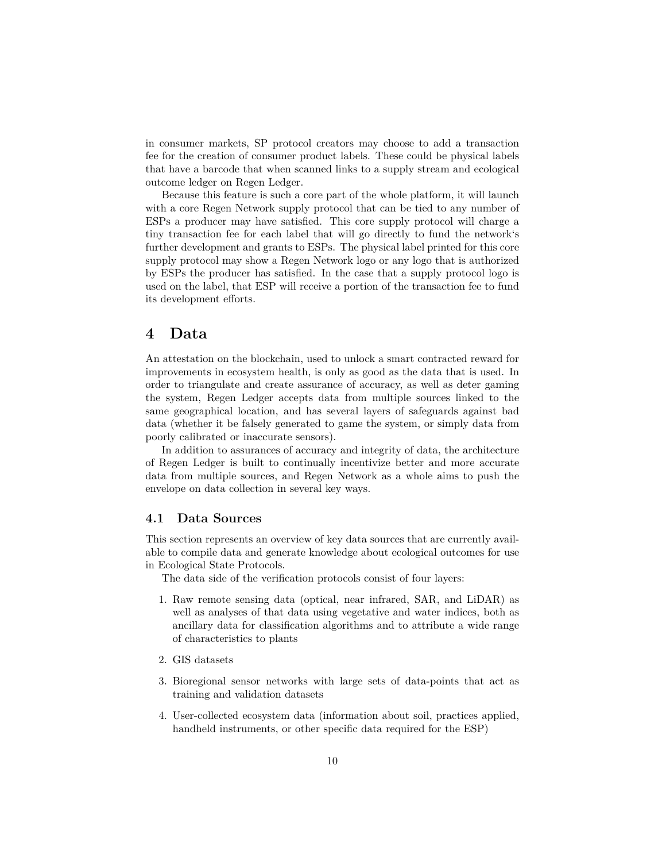in consumer markets, SP protocol creators may choose to add a transaction fee for the creation of consumer product labels. These could be physical labels that have a barcode that when scanned links to a supply stream and ecological outcome ledger on Regen Ledger.

Because this feature is such a core part of the whole platform, it will launch with a core Regen Network supply protocol that can be tied to any number of ESPs a producer may have satisfied. This core supply protocol will charge a tiny transaction fee for each label that will go directly to fund the network's further development and grants to ESPs. The physical label printed for this core supply protocol may show a Regen Network logo or any logo that is authorized by ESPs the producer has satisfied. In the case that a supply protocol logo is used on the label, that ESP will receive a portion of the transaction fee to fund its development efforts.

### <span id="page-9-0"></span>**4 Data**

An attestation on the blockchain, used to unlock a smart contracted reward for improvements in ecosystem health, is only as good as the data that is used. In order to triangulate and create assurance of accuracy, as well as deter gaming the system, Regen Ledger accepts data from multiple sources linked to the same geographical location, and has several layers of safeguards against bad data (whether it be falsely generated to game the system, or simply data from poorly calibrated or inaccurate sensors).

In addition to assurances of accuracy and integrity of data, the architecture of Regen Ledger is built to continually incentivize better and more accurate data from multiple sources, and Regen Network as a whole aims to push the envelope on data collection in several key ways.

#### <span id="page-9-1"></span>**4.1 Data Sources**

This section represents an overview of key data sources that are currently available to compile data and generate knowledge about ecological outcomes for use in Ecological State Protocols.

The data side of the verification protocols consist of four layers:

- 1. Raw remote sensing data (optical, near infrared, SAR, and LiDAR) as well as analyses of that data using vegetative and water indices, both as ancillary data for classification algorithms and to attribute a wide range of characteristics to plants
- 2. GIS datasets
- 3. Bioregional sensor networks with large sets of data-points that act as training and validation datasets
- 4. User-collected ecosystem data (information about soil, practices applied, handheld instruments, or other specific data required for the ESP)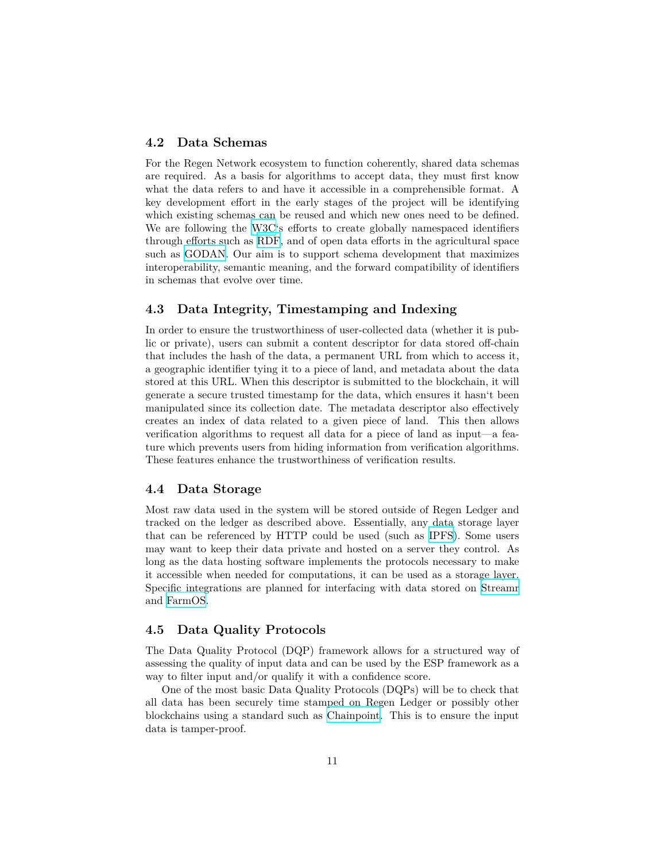#### <span id="page-10-0"></span>**4.2 Data Schemas**

For the Regen Network ecosystem to function coherently, shared data schemas are required. As a basis for algorithms to accept data, they must first know what the data refers to and have it accessible in a comprehensible format. A key development effort in the early stages of the project will be identifying which existing schemas can be reused and which new ones need to be defined. We are following the [W3C'](https://www.w3.org/2013/data/)s efforts to create globally namespaced identifiers through efforts such as [RDF,](https://www.w3.org/2011/rdf-wg/wiki/Main_Page) and of open data efforts in the agricultural space such as [GODAN.](http://www.godan.info) Our aim is to support schema development that maximizes interoperability, semantic meaning, and the forward compatibility of identifiers in schemas that evolve over time.

#### <span id="page-10-1"></span>**4.3 Data Integrity, Timestamping and Indexing**

In order to ensure the trustworthiness of user-collected data (whether it is public or private), users can submit a content descriptor for data stored off-chain that includes the hash of the data, a permanent URL from which to access it, a geographic identifier tying it to a piece of land, and metadata about the data stored at this URL. When this descriptor is submitted to the blockchain, it will generate a secure trusted timestamp for the data, which ensures it hasn't been manipulated since its collection date. The metadata descriptor also effectively creates an index of data related to a given piece of land. This then allows verification algorithms to request all data for a piece of land as input—a feature which prevents users from hiding information from verification algorithms. These features enhance the trustworthiness of verification results.

#### <span id="page-10-2"></span>**4.4 Data Storage**

Most raw data used in the system will be stored outside of Regen Ledger and tracked on the ledger as described above. Essentially, any data storage layer that can be referenced by HTTP could be used (such as [IPFS\)](https://ipfs.io). Some users may want to keep their data private and hosted on a server they control. As long as the data hosting software implements the protocols necessary to make it accessible when needed for computations, it can be used as a storage layer. Specific integrations are planned for interfacing with data stored on [Streamr](https://www.streamr.com) and [FarmOS](https://farmos.org).

#### <span id="page-10-3"></span>**4.5 Data Quality Protocols**

The Data Quality Protocol (DQP) framework allows for a structured way of assessing the quality of input data and can be used by the ESP framework as a way to filter input and/or qualify it with a confidence score.

One of the most basic Data Quality Protocols (DQPs) will be to check that all data has been securely time stamped on Regen Ledger or possibly other blockchains using a standard such as [Chainpoint](https://chainpoint.org). This is to ensure the input data is tamper-proof.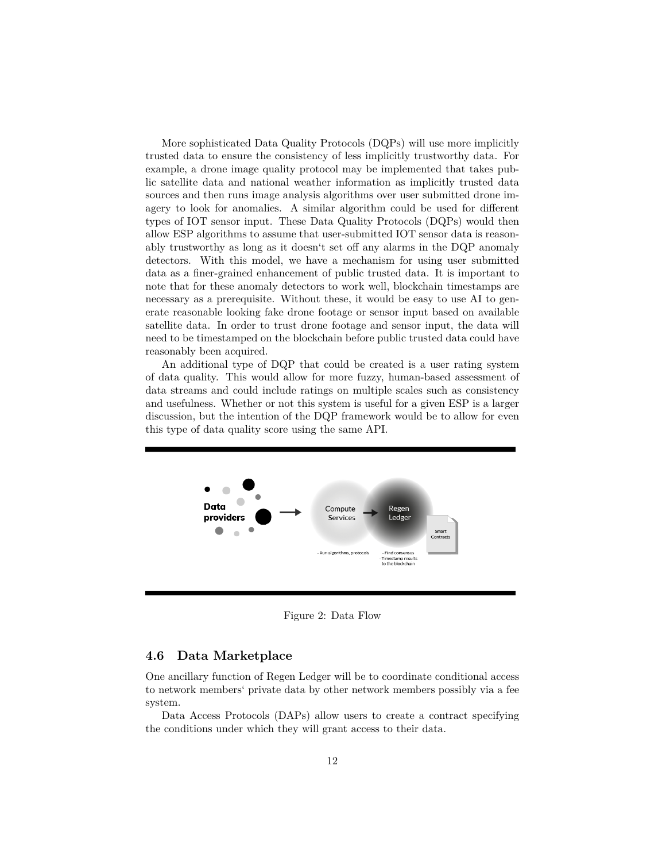More sophisticated Data Quality Protocols (DQPs) will use more implicitly trusted data to ensure the consistency of less implicitly trustworthy data. For example, a drone image quality protocol may be implemented that takes public satellite data and national weather information as implicitly trusted data sources and then runs image analysis algorithms over user submitted drone imagery to look for anomalies. A similar algorithm could be used for different types of IOT sensor input. These Data Quality Protocols (DQPs) would then allow ESP algorithms to assume that user-submitted IOT sensor data is reasonably trustworthy as long as it doesn't set off any alarms in the DQP anomaly detectors. With this model, we have a mechanism for using user submitted data as a finer-grained enhancement of public trusted data. It is important to note that for these anomaly detectors to work well, blockchain timestamps are necessary as a prerequisite. Without these, it would be easy to use AI to generate reasonable looking fake drone footage or sensor input based on available satellite data. In order to trust drone footage and sensor input, the data will need to be timestamped on the blockchain before public trusted data could have reasonably been acquired.

An additional type of DQP that could be created is a user rating system of data quality. This would allow for more fuzzy, human-based assessment of data streams and could include ratings on multiple scales such as consistency and usefulness. Whether or not this system is useful for a given ESP is a larger discussion, but the intention of the DQP framework would be to allow for even this type of data quality score using the same API.



<span id="page-11-1"></span>Figure 2: Data Flow

#### <span id="page-11-0"></span>**4.6 Data Marketplace**

One ancillary function of Regen Ledger will be to coordinate conditional access to network members' private data by other network members possibly via a fee system.

Data Access Protocols (DAPs) allow users to create a contract specifying the conditions under which they will grant access to their data.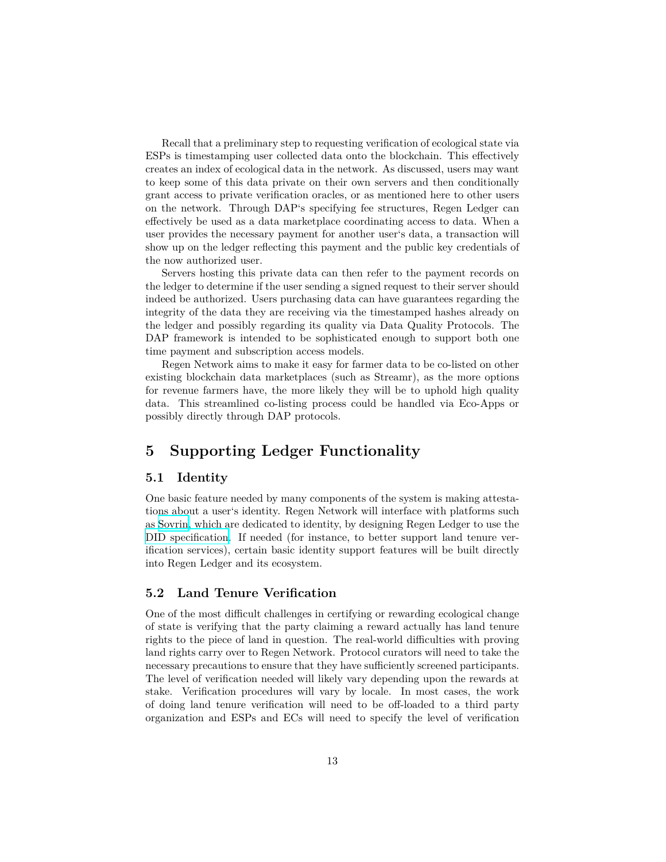Recall that a preliminary step to requesting verification of ecological state via ESPs is timestamping user collected data onto the blockchain. This effectively creates an index of ecological data in the network. As discussed, users may want to keep some of this data private on their own servers and then conditionally grant access to private verification oracles, or as mentioned here to other users on the network. Through DAP's specifying fee structures, Regen Ledger can effectively be used as a data marketplace coordinating access to data. When a user provides the necessary payment for another user's data, a transaction will show up on the ledger reflecting this payment and the public key credentials of the now authorized user.

Servers hosting this private data can then refer to the payment records on the ledger to determine if the user sending a signed request to their server should indeed be authorized. Users purchasing data can have guarantees regarding the integrity of the data they are receiving via the timestamped hashes already on the ledger and possibly regarding its quality via Data Quality Protocols. The DAP framework is intended to be sophisticated enough to support both one time payment and subscription access models.

Regen Network aims to make it easy for farmer data to be co-listed on other existing blockchain data marketplaces (such as Streamr), as the more options for revenue farmers have, the more likely they will be to uphold high quality data. This streamlined co-listing process could be handled via Eco-Apps or possibly directly through DAP protocols.

## <span id="page-12-0"></span>**5 Supporting Ledger Functionality**

#### <span id="page-12-1"></span>**5.1 Identity**

One basic feature needed by many components of the system is making attestations about a user's identity. Regen Network will interface with platforms such as [Sovrin](https://sovrin.org), which are dedicated to identity, by designing Regen Ledger to use the [DID specification](https://w3c-ccg.github.io/did-spec/). If needed (for instance, to better support land tenure verification services), certain basic identity support features will be built directly into Regen Ledger and its ecosystem.

#### <span id="page-12-2"></span>**5.2 Land Tenure Verification**

One of the most difficult challenges in certifying or rewarding ecological change of state is verifying that the party claiming a reward actually has land tenure rights to the piece of land in question. The real-world difficulties with proving land rights carry over to Regen Network. Protocol curators will need to take the necessary precautions to ensure that they have sufficiently screened participants. The level of verification needed will likely vary depending upon the rewards at stake. Verification procedures will vary by locale. In most cases, the work of doing land tenure verification will need to be off-loaded to a third party organization and ESPs and ECs will need to specify the level of verification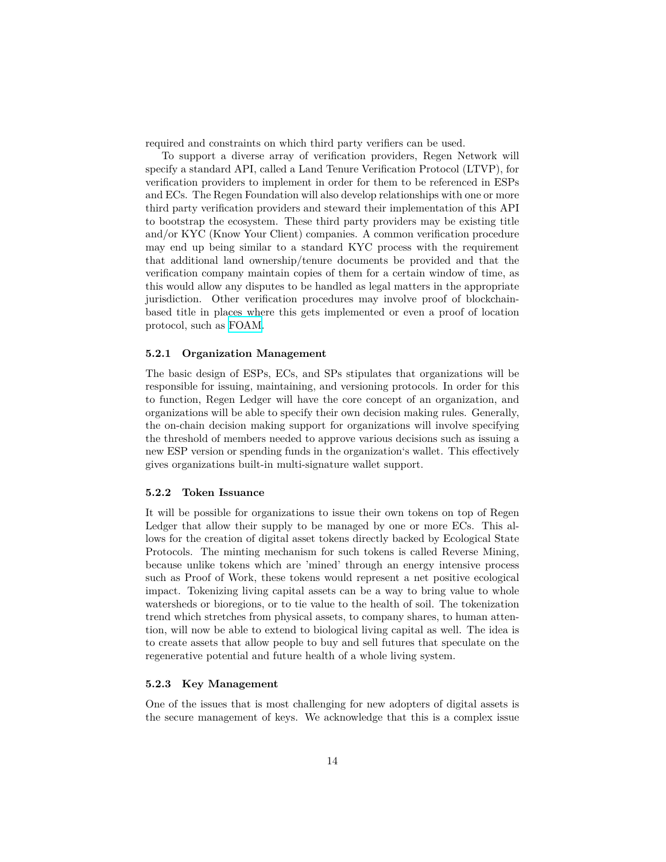required and constraints on which third party verifiers can be used.

To support a diverse array of verification providers, Regen Network will specify a standard API, called a Land Tenure Verification Protocol (LTVP), for verification providers to implement in order for them to be referenced in ESPs and ECs. The Regen Foundation will also develop relationships with one or more third party verification providers and steward their implementation of this API to bootstrap the ecosystem. These third party providers may be existing title and/or KYC (Know Your Client) companies. A common verification procedure may end up being similar to a standard KYC process with the requirement that additional land ownership/tenure documents be provided and that the verification company maintain copies of them for a certain window of time, as this would allow any disputes to be handled as legal matters in the appropriate jurisdiction. Other verification procedures may involve proof of blockchainbased title in places where this gets implemented or even a proof of location protocol, such as [FOAM.](https://www.foam.space)

#### <span id="page-13-0"></span>**5.2.1 Organization Management**

The basic design of ESPs, ECs, and SPs stipulates that organizations will be responsible for issuing, maintaining, and versioning protocols. In order for this to function, Regen Ledger will have the core concept of an organization, and organizations will be able to specify their own decision making rules. Generally, the on-chain decision making support for organizations will involve specifying the threshold of members needed to approve various decisions such as issuing a new ESP version or spending funds in the organization's wallet. This effectively gives organizations built-in multi-signature wallet support.

#### <span id="page-13-1"></span>**5.2.2 Token Issuance**

It will be possible for organizations to issue their own tokens on top of Regen Ledger that allow their supply to be managed by one or more ECs. This allows for the creation of digital asset tokens directly backed by Ecological State Protocols. The minting mechanism for such tokens is called Reverse Mining, because unlike tokens which are 'mined' through an energy intensive process such as Proof of Work, these tokens would represent a net positive ecological impact. Tokenizing living capital assets can be a way to bring value to whole watersheds or bioregions, or to tie value to the health of soil. The tokenization trend which stretches from physical assets, to company shares, to human attention, will now be able to extend to biological living capital as well. The idea is to create assets that allow people to buy and sell futures that speculate on the regenerative potential and future health of a whole living system.

#### <span id="page-13-2"></span>**5.2.3 Key Management**

One of the issues that is most challenging for new adopters of digital assets is the secure management of keys. We acknowledge that this is a complex issue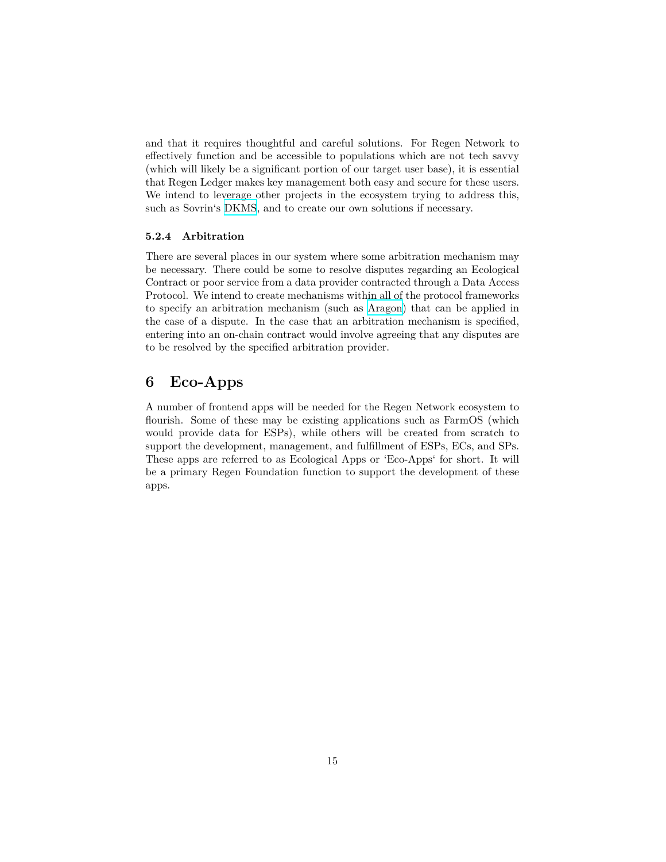and that it requires thoughtful and careful solutions. For Regen Network to effectively function and be accessible to populations which are not tech savvy (which will likely be a significant portion of our target user base), it is essential that Regen Ledger makes key management both easy and secure for these users. We intend to leverage other projects in the ecosystem trying to address this, such as Sovrin's [DKMS](https://github.com/WebOfTrustInfo/rebooting-the-web-of-trust-spring2017/blob/master/topics-and-advance-readings/dkms-decentralized-key-mgmt-system.md), and to create our own solutions if necessary.

#### <span id="page-14-0"></span>**5.2.4 Arbitration**

There are several places in our system where some arbitration mechanism may be necessary. There could be some to resolve disputes regarding an Ecological Contract or poor service from a data provider contracted through a Data Access Protocol. We intend to create mechanisms within all of the protocol frameworks to specify an arbitration mechanism (such as [Aragon](https://aragon.one)) that can be applied in the case of a dispute. In the case that an arbitration mechanism is specified, entering into an on-chain contract would involve agreeing that any disputes are to be resolved by the specified arbitration provider.

### <span id="page-14-1"></span>**6 Eco-Apps**

A number of frontend apps will be needed for the Regen Network ecosystem to flourish. Some of these may be existing applications such as FarmOS (which would provide data for ESPs), while others will be created from scratch to support the development, management, and fulfillment of ESPs, ECs, and SPs. These apps are referred to as Ecological Apps or 'Eco-Apps' for short. It will be a primary Regen Foundation function to support the development of these apps.